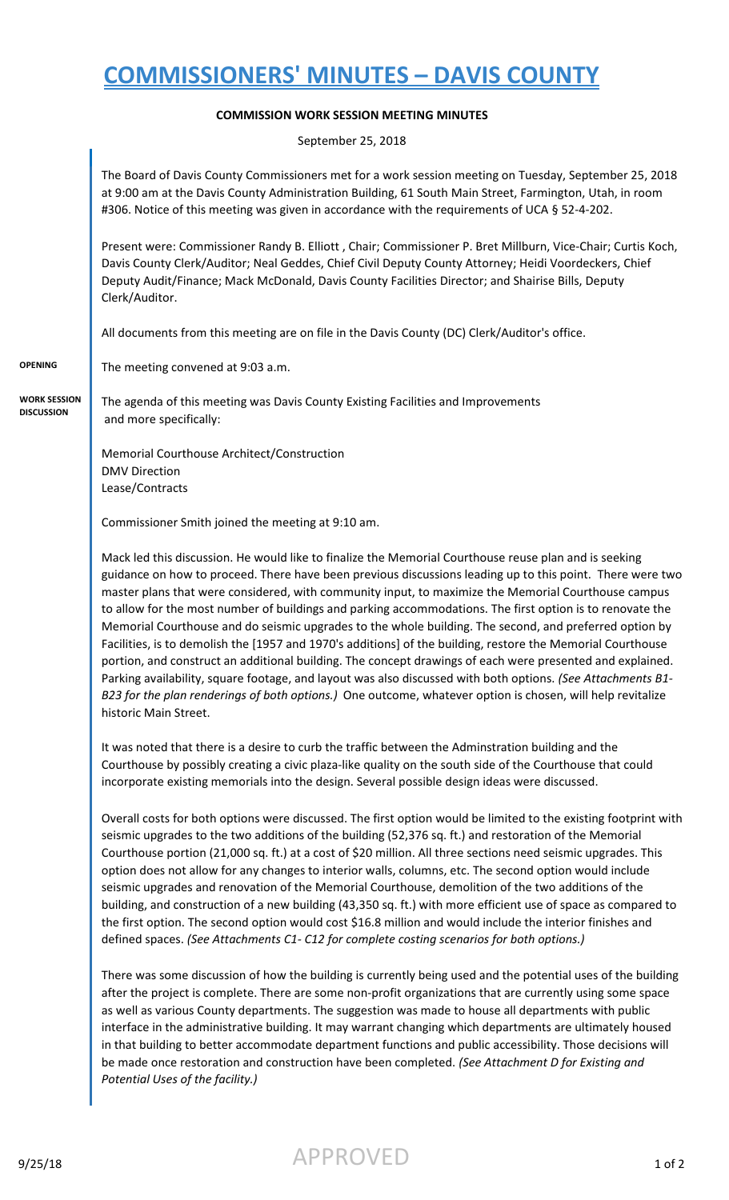## **COMMISSIONERS' MINUTES – DAVIS COUNTY**

## **COMMISSION WORK SESSION MEETING MINUTES**

September 25, 2018

The Board of Davis County Commissioners met for a work session meeting on Tuesday, September 25, 2018 at 9:00 am at the Davis County Administration Building, 61 South Main Street, Farmington, Utah, in room #306. Notice of this meeting was given in accordance with the requirements of UCA § 52-4-202.

Present were: Commissioner Randy B. Elliott , Chair; Commissioner P. Bret Millburn, Vice-Chair; Curtis Koch, Davis County Clerk/Auditor; Neal Geddes, Chief Civil Deputy County Attorney; Heidi Voordeckers, Chief Deputy Audit/Finance; Mack McDonald, Davis County Facilities Director; and Shairise Bills, Deputy Clerk/Auditor.

All documents from this meeting are on file in the Davis County (DC) Clerk/Auditor's office.

**OPENING** The meeting convened at 9:03 a.m.

**WORK SESSION DISCUSSION**

The agenda of this meeting was Davis County Existing Facilities and Improvements and more specifically:

Memorial Courthouse Architect/Construction DMV Direction Lease/Contracts

Commissioner Smith joined the meeting at 9:10 am.

Mack led this discussion. He would like to finalize the Memorial Courthouse reuse plan and is seeking guidance on how to proceed. There have been previous discussions leading up to this point. There were two master plans that were considered, with community input, to maximize the Memorial Courthouse campus to allow for the most number of buildings and parking accommodations. The first option is to renovate the Memorial Courthouse and do seismic upgrades to the whole building. The second, and preferred option by Facilities, is to demolish the [1957 and 1970's additions] of the building, restore the Memorial Courthouse portion, and construct an additional building. The concept drawings of each were presented and explained. Parking availability, square footage, and layout was also discussed with both options. *(See Attachments B1- B23 for the plan renderings of both options.)* One outcome, whatever option is chosen, will help revitalize historic Main Street.

It was noted that there is a desire to curb the traffic between the Adminstration building and the Courthouse by possibly creating a civic plaza-like quality on the south side of the Courthouse that could incorporate existing memorials into the design. Several possible design ideas were discussed.

Overall costs for both options were discussed. The first option would be limited to the existing footprint with seismic upgrades to the two additions of the building (52,376 sq. ft.) and restoration of the Memorial Courthouse portion (21,000 sq. ft.) at a cost of \$20 million. All three sections need seismic upgrades. This option does not allow for any changes to interior walls, columns, etc. The second option would include seismic upgrades and renovation of the Memorial Courthouse, demolition of the two additions of the building, and construction of a new building (43,350 sq. ft.) with more efficient use of space as compared to the first option. The second option would cost \$16.8 million and would include the interior finishes and defined spaces. *(See Attachments C1- C12 for complete costing scenarios for both options.)*

There was some discussion of how the building is currently being used and the potential uses of the building after the project is complete. There are some non-profit organizations that are currently using some space as well as various County departments. The suggestion was made to house all departments with public interface in the administrative building. It may warrant changing which departments are ultimately housed in that building to better accommodate department functions and public accessibility. Those decisions will be made once restoration and construction have been completed. *(See Attachment D for Existing and Potential Uses of the facility.)*